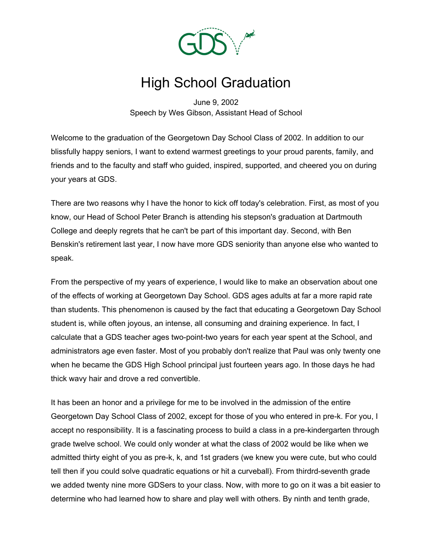

## High School Graduation

June 9, 2002 Speech by Wes Gibson, Assistant Head of School

Welcome to the graduation of the Georgetown Day School Class of 2002. In addition to our blissfully happy seniors, I want to extend warmest greetings to your proud parents, family, and friends and to the faculty and staff who guided, inspired, supported, and cheered you on during your years at GDS.

There are two reasons why I have the honor to kick off today's celebration. First, as most of you know, our Head of School Peter Branch is attending his stepson's graduation at Dartmouth College and deeply regrets that he can't be part of this important day. Second, with Ben Benskin's retirement last year, I now have more GDS seniority than anyone else who wanted to speak.

From the perspective of my years of experience, I would like to make an observation about one of the effects of working at Georgetown Day School. GDS ages adults at far a more rapid rate than students. This phenomenon is caused by the fact that educating a Georgetown Day School student is, while often joyous, an intense, all consuming and draining experience. In fact, I calculate that a GDS teacher ages two-point-two years for each year spent at the School, and administrators age even faster. Most of you probably don't realize that Paul was only twenty one when he became the GDS High School principal just fourteen years ago. In those days he had thick wavy hair and drove a red convertible.

It has been an honor and a privilege for me to be involved in the admission of the entire Georgetown Day School Class of 2002, except for those of you who entered in pre-k. For you, I accept no responsibility. It is a fascinating process to build a class in a pre-kindergarten through grade twelve school. We could only wonder at what the class of 2002 would be like when we admitted thirty eight of you as pre-k, k, and 1st graders (we knew you were cute, but who could tell then if you could solve quadratic equations or hit a curveball). From thirdrd-seventh grade we added twenty nine more GDSers to your class. Now, with more to go on it was a bit easier to determine who had learned how to share and play well with others. By ninth and tenth grade,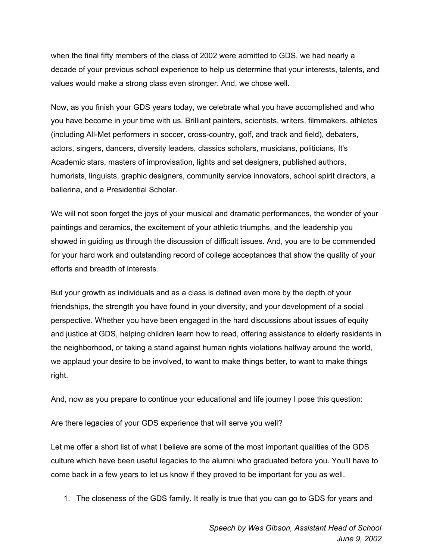when the final fifty members of the class of 2002 were admitted to GDS, we had nearly a decade of your previous school experience to help us determine that your interests, talents, and values would make a strong class even stronger. And, we chose well.

Now, as you finish your GDS years today, we celebrate what you have accomplished and who you have become in your time with us. Brilliant painters, scientists, writers, filmmakers, athletes (including All-Met performers in soccer, cross-country, golf, and track and field), debaters, actors, singers, dancers, diversity leaders, classics scholars, musicians, politicians, It's Academic stars, masters of improvisation, lights and set designers, published authors, humorists, linguists, graphic designers, community service innovators, school spirit directors, a ballerina, and a Presidential Scholar.

We will not soon forget the joys of your musical and dramatic performances, the wonder of your paintings and ceramics, the excitement of your athletic triumphs, and the leadership you showed in guiding us through the discussion of difficult issues. And, you are to be commended for your hard work and outstanding record of college acceptances that show the quality of your efforts and breadth of interests.

But your growth as individuals and as a class is defined even more by the depth of your friendships, the strength you have found in your diversity, and your development of a social perspective. Whether you have been engaged in the hard discussions about issues of equity and justice at GDS, helping children learn how to read, offering assistance to elderly residents in the neighborhood, or taking a stand against human rights violations halfway around the world, we applaud your desire to be involved, to want to make things better, to want to make things right.

And, now as you prepare to continue your educational and life journey I pose this question:

Are there legacies of your GDS experience that will serve you well?

Let me offer a short list of what I believe are some of the most important qualities of the GDS culture which have been useful legacies to the alumni who graduated before you. You'll have to come back in a few years to let us know if they proved to be important for you as well.

1. The closeness of the GDS family. It really is true that you can go to GDS for years and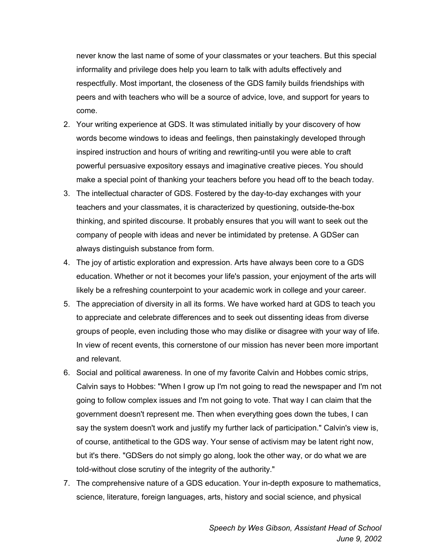never know the last name of some of your classmates or your teachers. But this special informality and privilege does help you learn to talk with adults effectively and respectfully. Most important, the closeness of the GDS family builds friendships with peers and with teachers who will be a source of advice, love, and support for years to come.

- 2. Your writing experience at GDS. It was stimulated initially by your discovery of how words become windows to ideas and feelings, then painstakingly developed through inspired instruction and hours of writing and rewriting-until you were able to craft powerful persuasive expository essays and imaginative creative pieces. You should make a special point of thanking your teachers before you head off to the beach today.
- 3. The intellectual character of GDS. Fostered by the day-to-day exchanges with your teachers and your classmates, it is characterized by questioning, outside-the-box thinking, and spirited discourse. It probably ensures that you will want to seek out the company of people with ideas and never be intimidated by pretense. A GDSer can always distinguish substance from form.
- 4. The joy of artistic exploration and expression. Arts have always been core to a GDS education. Whether or not it becomes your life's passion, your enjoyment of the arts will likely be a refreshing counterpoint to your academic work in college and your career.
- 5. The appreciation of diversity in all its forms. We have worked hard at GDS to teach you to appreciate and celebrate differences and to seek out dissenting ideas from diverse groups of people, even including those who may dislike or disagree with your way of life. In view of recent events, this cornerstone of our mission has never been more important and relevant.
- 6. Social and political awareness. In one of my favorite Calvin and Hobbes comic strips, Calvin says to Hobbes: "When I grow up I'm not going to read the newspaper and I'm not going to follow complex issues and I'm not going to vote. That way I can claim that the government doesn't represent me. Then when everything goes down the tubes, I can say the system doesn't work and justify my further lack of participation." Calvin's view is, of course, antithetical to the GDS way. Your sense of activism may be latent right now, but it's there. "GDSers do not simply go along, look the other way, or do what we are told-without close scrutiny of the integrity of the authority."
- 7. The comprehensive nature of a GDS education. Your in-depth exposure to mathematics, science, literature, foreign languages, arts, history and social science, and physical